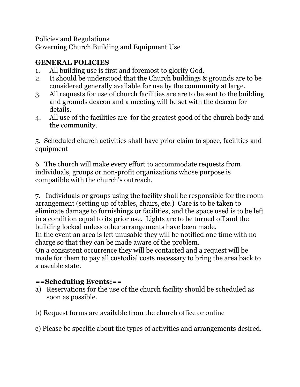Policies and Regulations Governing Church Building and Equipment Use

# **GENERAL POLICIES**

- 1. All building use is first and foremost to glorify God.
- 2. It should be understood that the Church buildings & grounds are to be considered generally available for use by the community at large.
- 3. All requests for use of church facilities are are to be sent to the building and grounds deacon and a meeting will be set with the deacon for details.
- 4. All use of the facilities are for the greatest good of the church body and the community.

5. Scheduled church activities shall have prior claim to space, facilities and equipment

6. The church will make every effort to accommodate requests from individuals, groups or non-profit organizations whose purpose is compatible with the church's outreach.

7. Individuals or groups using the facility shall be responsible for the room arrangement (setting up of tables, chairs, etc.) Care is to be taken to eliminate damage to furnishings or facilities, and the space used is to be left in a condition equal to its prior use. Lights are to be turned off and the building locked unless other arrangements have been made. In the event an area is left unusable they will be notified one time with no charge so that they can be made aware of the problem. On a consistent occurrence they will be contacted and a request will be made for them to pay all custodial costs necessary to bring the area back to

a useable state.

## **==Scheduling Events:==**

- a) Reservations for the use of the church facility should be scheduled as soon as possible.
- b) Request forms are available from the church office or online

c) Please be specific about the types of activities and arrangements desired.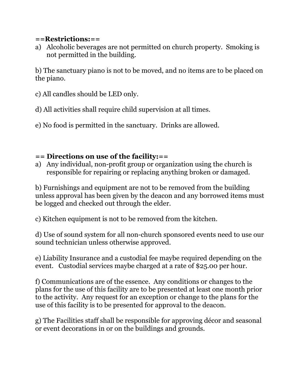#### **==Restrictions:==**

a) Alcoholic beverages are not permitted on church property. Smoking is not permitted in the building.

b) The sanctuary piano is not to be moved, and no items are to be placed on the piano.

c) All candles should be LED only.

d) All activities shall require child supervision at all times.

e) No food is permitted in the sanctuary. Drinks are allowed.

## **== Directions on use of the facility:==**

a) Any individual, non-profit group or organization using the church is responsible for repairing or replacing anything broken or damaged.

b) Furnishings and equipment are not to be removed from the building unless approval has been given by the deacon and any borrowed items must be logged and checked out through the elder.

c) Kitchen equipment is not to be removed from the kitchen.

d) Use of sound system for all non-church sponsored events need to use our sound technician unless otherwise approved.

e) Liability Insurance and a custodial fee maybe required depending on the event. Custodial services maybe charged at a rate of \$25.00 per hour.

f) Communications are of the essence. Any conditions or changes to the plans for the use of this facility are to be presented at least one month prior to the activity. Any request for an exception or change to the plans for the use of this facility is to be presented for approval to the deacon.

g) The Facilities staff shall be responsible for approving décor and seasonal or event decorations in or on the buildings and grounds.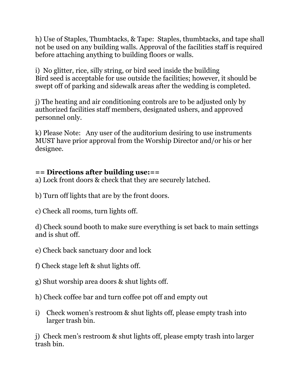h) Use of Staples, Thumbtacks, & Tape: Staples, thumbtacks, and tape shall not be used on any building walls. Approval of the facilities staff is required before attaching anything to building floors or walls.

i) No glitter, rice, silly string, or bird seed inside the building Bird seed is acceptable for use outside the facilities; however, it should be swept off of parking and sidewalk areas after the wedding is completed.

j) The heating and air conditioning controls are to be adjusted only by authorized facilities staff members, designated ushers, and approved personnel only.

k) Please Note: Any user of the auditorium desiring to use instruments MUST have prior approval from the Worship Director and/or his or her designee.

### **== Directions after building use:==**

a) Lock front doors & check that they are securely latched.

- b) Turn off lights that are by the front doors.
- c) Check all rooms, turn lights off.

d) Check sound booth to make sure everything is set back to main settings and is shut off.

- e) Check back sanctuary door and lock
- f) Check stage left & shut lights off.
- g) Shut worship area doors & shut lights off.
- h) Check coffee bar and turn coffee pot off and empty out
- i) Check women's restroom & shut lights off, please empty trash into larger trash bin.

j) Check men's restroom & shut lights off, please empty trash into larger trash bin.